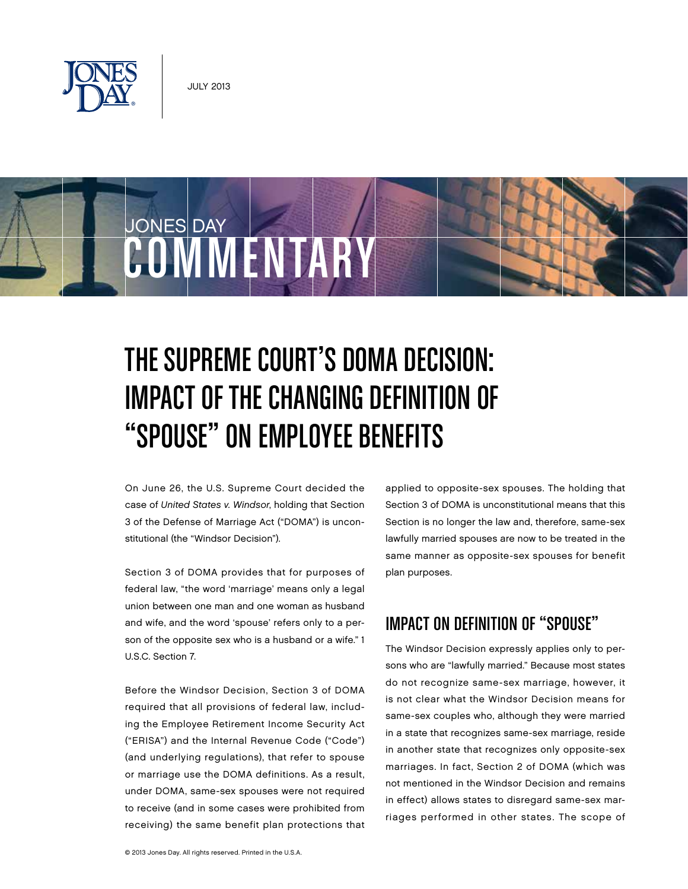

# JONES DAY COMMENTARY

## The Supreme Court's DOMA Decision: Impact of the Changing Definition of "Spouse" on Employee Benefits

On June 26, the U.S. Supreme Court decided the case of United States v. Windsor, holding that Section 3 of the Defense of Marriage Act ("DOMA") is unconstitutional (the "Windsor Decision").

Section 3 of DOMA provides that for purposes of federal law, "the word 'marriage' means only a legal union between one man and one woman as husband and wife, and the word 'spouse' refers only to a person of the opposite sex who is a husband or a wife." 1 U.S.C. Section 7.

Before the Windsor Decision, Section 3 of DOMA required that all provisions of federal law, including the Employee Retirement Income Security Act ("ERISA") and the Internal Revenue Code ("Code") (and underlying regulations), that refer to spouse or marriage use the DOMA definitions. As a result, under DOMA, same-sex spouses were not required to receive (and in some cases were prohibited from receiving) the same benefit plan protections that

applied to opposite-sex spouses. The holding that Section 3 of DOMA is unconstitutional means that this Section is no longer the law and, therefore, same-sex lawfully married spouses are now to be treated in the same manner as opposite-sex spouses for benefit plan purposes.

## Impact on Definition of "Spouse"

The Windsor Decision expressly applies only to persons who are "lawfully married." Because most states do not recognize same-sex marriage, however, it is not clear what the Windsor Decision means for same-sex couples who, although they were married in a state that recognizes same-sex marriage, reside in another state that recognizes only opposite-sex marriages. In fact, Section 2 of DOMA (which was not mentioned in the Windsor Decision and remains in effect) allows states to disregard same-sex marriages performed in other states. The scope of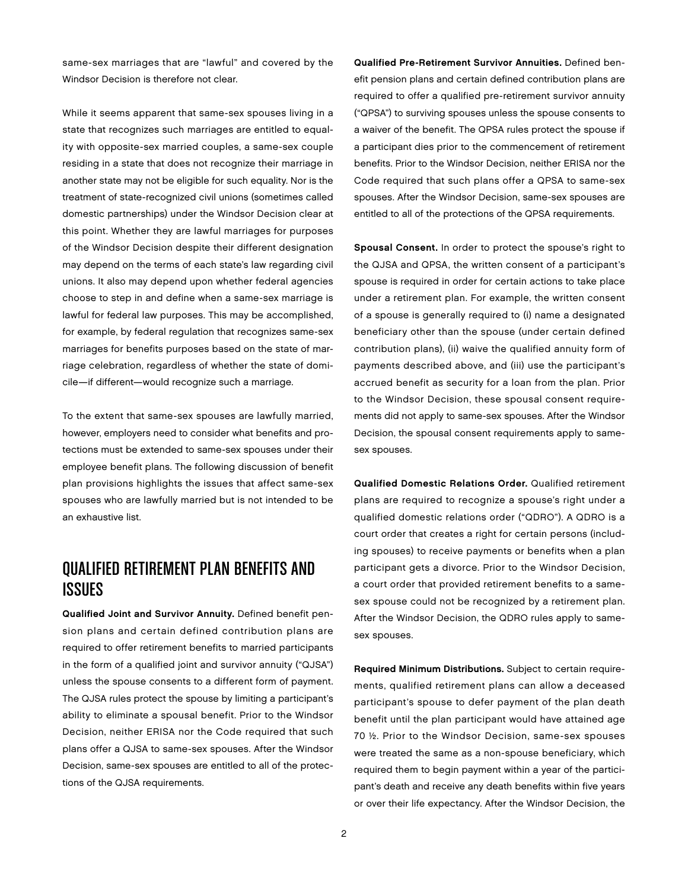same-sex marriages that are "lawful" and covered by the Windsor Decision is therefore not clear.

While it seems apparent that same-sex spouses living in a state that recognizes such marriages are entitled to equality with opposite-sex married couples, a same-sex couple residing in a state that does not recognize their marriage in another state may not be eligible for such equality. Nor is the treatment of state-recognized civil unions (sometimes called domestic partnerships) under the Windsor Decision clear at this point. Whether they are lawful marriages for purposes of the Windsor Decision despite their different designation may depend on the terms of each state's law regarding civil unions. It also may depend upon whether federal agencies choose to step in and define when a same-sex marriage is lawful for federal law purposes. This may be accomplished, for example, by federal regulation that recognizes same-sex marriages for benefits purposes based on the state of marriage celebration, regardless of whether the state of domicile—if different—would recognize such a marriage.

To the extent that same-sex spouses are lawfully married, however, employers need to consider what benefits and protections must be extended to same-sex spouses under their employee benefit plans. The following discussion of benefit plan provisions highlights the issues that affect same-sex spouses who are lawfully married but is not intended to be an exhaustive list.

#### Qualified Retirement Plan Benefits and Issues

Qualified Joint and Survivor Annuity. Defined benefit pension plans and certain defined contribution plans are required to offer retirement benefits to married participants in the form of a qualified joint and survivor annuity ("QJSA") unless the spouse consents to a different form of payment. The QJSA rules protect the spouse by limiting a participant's ability to eliminate a spousal benefit. Prior to the Windsor Decision, neither ERISA nor the Code required that such plans offer a QJSA to same-sex spouses. After the Windsor Decision, same-sex spouses are entitled to all of the protections of the QJSA requirements.

Qualified Pre-Retirement Survivor Annuities. Defined benefit pension plans and certain defined contribution plans are required to offer a qualified pre-retirement survivor annuity ("QPSA") to surviving spouses unless the spouse consents to a waiver of the benefit. The QPSA rules protect the spouse if a participant dies prior to the commencement of retirement benefits. Prior to the Windsor Decision, neither ERISA nor the Code required that such plans offer a QPSA to same-sex spouses. After the Windsor Decision, same-sex spouses are entitled to all of the protections of the QPSA requirements.

Spousal Consent. In order to protect the spouse's right to the QJSA and QPSA, the written consent of a participant's spouse is required in order for certain actions to take place under a retirement plan. For example, the written consent of a spouse is generally required to (i) name a designated beneficiary other than the spouse (under certain defined contribution plans), (ii) waive the qualified annuity form of payments described above, and (iii) use the participant's accrued benefit as security for a loan from the plan. Prior to the Windsor Decision, these spousal consent requirements did not apply to same-sex spouses. After the Windsor Decision, the spousal consent requirements apply to samesex spouses.

Qualified Domestic Relations Order. Qualified retirement plans are required to recognize a spouse's right under a qualified domestic relations order ("QDRO"). A QDRO is a court order that creates a right for certain persons (including spouses) to receive payments or benefits when a plan participant gets a divorce. Prior to the Windsor Decision, a court order that provided retirement benefits to a samesex spouse could not be recognized by a retirement plan. After the Windsor Decision, the QDRO rules apply to samesex spouses.

Required Minimum Distributions. Subject to certain requirements, qualified retirement plans can allow a deceased participant's spouse to defer payment of the plan death benefit until the plan participant would have attained age 70 ½. Prior to the Windsor Decision, same-sex spouses were treated the same as a non-spouse beneficiary, which required them to begin payment within a year of the participant's death and receive any death benefits within five years or over their life expectancy. After the Windsor Decision, the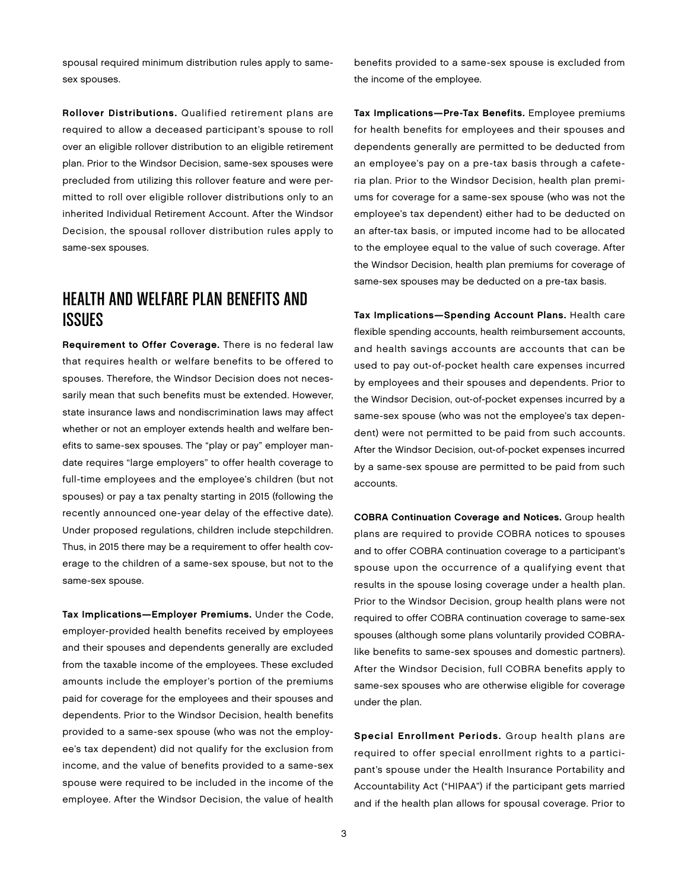spousal required minimum distribution rules apply to samesex spouses.

Rollover Distributions. Qualified retirement plans are required to allow a deceased participant's spouse to roll over an eligible rollover distribution to an eligible retirement plan. Prior to the Windsor Decision, same-sex spouses were precluded from utilizing this rollover feature and were permitted to roll over eligible rollover distributions only to an inherited Individual Retirement Account. After the Windsor Decision, the spousal rollover distribution rules apply to same-sex spouses.

### Health and Welfare Plan Benefits and Issues

Requirement to Offer Coverage. There is no federal law that requires health or welfare benefits to be offered to spouses. Therefore, the Windsor Decision does not necessarily mean that such benefits must be extended. However, state insurance laws and nondiscrimination laws may affect whether or not an employer extends health and welfare benefits to same-sex spouses. The "play or pay" employer mandate requires "large employers" to offer health coverage to full-time employees and the employee's children (but not spouses) or pay a tax penalty starting in 2015 (following the recently announced one-year delay of the effective date). Under proposed regulations, children include stepchildren. Thus, in 2015 there may be a requirement to offer health coverage to the children of a same-sex spouse, but not to the same-sex spouse.

Tax Implications—Employer Premiums. Under the Code, employer-provided health benefits received by employees and their spouses and dependents generally are excluded from the taxable income of the employees. These excluded amounts include the employer's portion of the premiums paid for coverage for the employees and their spouses and dependents. Prior to the Windsor Decision, health benefits provided to a same-sex spouse (who was not the employee's tax dependent) did not qualify for the exclusion from income, and the value of benefits provided to a same-sex spouse were required to be included in the income of the employee. After the Windsor Decision, the value of health benefits provided to a same-sex spouse is excluded from the income of the employee.

Tax Implications—Pre-Tax Benefits. Employee premiums for health benefits for employees and their spouses and dependents generally are permitted to be deducted from an employee's pay on a pre-tax basis through a cafeteria plan. Prior to the Windsor Decision, health plan premiums for coverage for a same-sex spouse (who was not the employee's tax dependent) either had to be deducted on an after-tax basis, or imputed income had to be allocated to the employee equal to the value of such coverage. After the Windsor Decision, health plan premiums for coverage of same-sex spouses may be deducted on a pre-tax basis.

Tax Implications—Spending Account Plans. Health care flexible spending accounts, health reimbursement accounts, and health savings accounts are accounts that can be used to pay out-of-pocket health care expenses incurred by employees and their spouses and dependents. Prior to the Windsor Decision, out-of-pocket expenses incurred by a same-sex spouse (who was not the employee's tax dependent) were not permitted to be paid from such accounts. After the Windsor Decision, out-of-pocket expenses incurred by a same-sex spouse are permitted to be paid from such accounts.

COBRA Continuation Coverage and Notices. Group health plans are required to provide COBRA notices to spouses and to offer COBRA continuation coverage to a participant's spouse upon the occurrence of a qualifying event that results in the spouse losing coverage under a health plan. Prior to the Windsor Decision, group health plans were not required to offer COBRA continuation coverage to same-sex spouses (although some plans voluntarily provided COBRAlike benefits to same-sex spouses and domestic partners). After the Windsor Decision, full COBRA benefits apply to same-sex spouses who are otherwise eligible for coverage under the plan.

Special Enrollment Periods. Group health plans are required to offer special enrollment rights to a participant's spouse under the Health Insurance Portability and Accountability Act ("HIPAA") if the participant gets married and if the health plan allows for spousal coverage. Prior to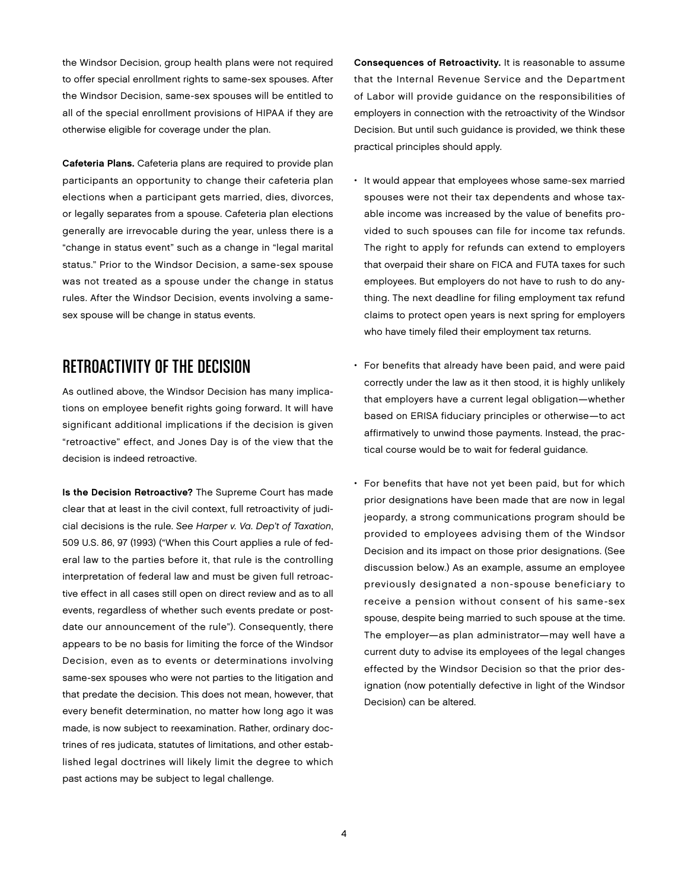the Windsor Decision, group health plans were not required to offer special enrollment rights to same-sex spouses. After the Windsor Decision, same-sex spouses will be entitled to all of the special enrollment provisions of HIPAA if they are otherwise eligible for coverage under the plan.

Cafeteria Plans. Cafeteria plans are required to provide plan participants an opportunity to change their cafeteria plan elections when a participant gets married, dies, divorces, or legally separates from a spouse. Cafeteria plan elections generally are irrevocable during the year, unless there is a "change in status event" such as a change in "legal marital status." Prior to the Windsor Decision, a same-sex spouse was not treated as a spouse under the change in status rules. After the Windsor Decision, events involving a samesex spouse will be change in status events.

## Retroactivity of the Decision

As outlined above, the Windsor Decision has many implications on employee benefit rights going forward. It will have significant additional implications if the decision is given "retroactive" effect, and Jones Day is of the view that the decision is indeed retroactive.

Is the Decision Retroactive? The Supreme Court has made clear that at least in the civil context, full retroactivity of judicial decisions is the rule. See Harper v. Va. Dep't of Taxation, 509 U.S. 86, 97 (1993) ("When this Court applies a rule of federal law to the parties before it, that rule is the controlling interpretation of federal law and must be given full retroactive effect in all cases still open on direct review and as to all events, regardless of whether such events predate or postdate our announcement of the rule"). Consequently, there appears to be no basis for limiting the force of the Windsor Decision, even as to events or determinations involving same-sex spouses who were not parties to the litigation and that predate the decision. This does not mean, however, that every benefit determination, no matter how long ago it was made, is now subject to reexamination. Rather, ordinary doctrines of res judicata, statutes of limitations, and other established legal doctrines will likely limit the degree to which past actions may be subject to legal challenge.

Consequences of Retroactivity. It is reasonable to assume that the Internal Revenue Service and the Department of Labor will provide guidance on the responsibilities of employers in connection with the retroactivity of the Windsor Decision. But until such guidance is provided, we think these practical principles should apply.

- It would appear that employees whose same-sex married spouses were not their tax dependents and whose taxable income was increased by the value of benefits provided to such spouses can file for income tax refunds. The right to apply for refunds can extend to employers that overpaid their share on FICA and FUTA taxes for such employees. But employers do not have to rush to do anything. The next deadline for filing employment tax refund claims to protect open years is next spring for employers who have timely filed their employment tax returns.
- For benefits that already have been paid, and were paid correctly under the law as it then stood, it is highly unlikely that employers have a current legal obligation—whether based on ERISA fiduciary principles or otherwise—to act affirmatively to unwind those payments. Instead, the practical course would be to wait for federal guidance.
- For benefits that have not yet been paid, but for which prior designations have been made that are now in legal jeopardy, a strong communications program should be provided to employees advising them of the Windsor Decision and its impact on those prior designations. (See discussion below.) As an example, assume an employee previously designated a non-spouse beneficiary to receive a pension without consent of his same-sex spouse, despite being married to such spouse at the time. The employer—as plan administrator—may well have a current duty to advise its employees of the legal changes effected by the Windsor Decision so that the prior designation (now potentially defective in light of the Windsor Decision) can be altered.